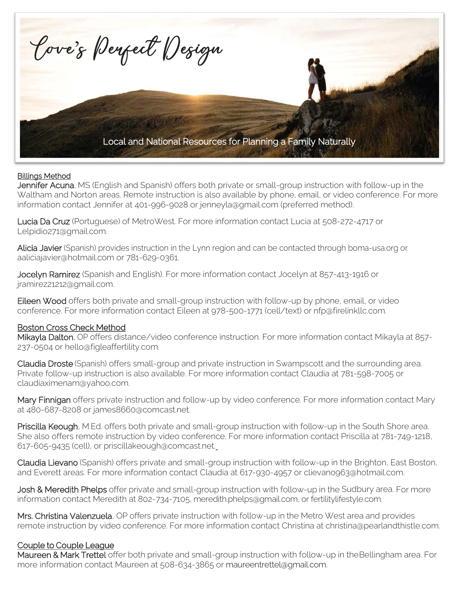

### Billings Method

Jennifer Acuna, MS (English and Spanish) offers both private or small-group instruction with follow-up in the Waltham and Norton areas. Remote instruction is also available by phone, email, or video conference. For more information contact Jennifer at 401-996-9028 o[r jenneyla@gmail.com \(](mailto:jenneyla@gmail.com)preferred method).

Lucia Da Cruz (Portuguese) of MetroWest. For more information contact Lucia at 508-272-4717 or [Lelpidio271@gmail.com.](mailto:Lelpidio271@gmail.com.)

Alicia Javier (Spanish) provides instruction in the Lynn region and can be contacted through [boma-usa.org or](mailto:boma-usa.org%20or) [aaliciajavier@hotmail.com o](mailto:aaliciajavier@hotmail.com)r 781-629-0361.

Jocelyn Ramirez (Spanish and English). For more information contact Jocelyn at 857-413-1916 or [jramirez21212@gmail.com.](mailto:jramirez21212@gmail.com)

Eileen Wood offers both private and small-group instruction with follow-up by phone, email, or video conference. For more information contact Eileen at 978-500-1771 (cell/text) or [nfp@firelinkllc.com.](mailto:nfp@firelinkllc.com)

#### Boston Cross Check Method

Mikayla Dalton, OP offers distance/video conference instruction. For more information contact Mikayla at 857-237-0504 or [hello@figleaffertility.com.](mailto:hello@figleaffertility.com)

Claudia Droste (Spanish) offers small-group and private instruction in Swampscott and the surrounding area. Private follow-up instruction is also available. For more information contact Claudia at 781-598-7005 or [claudiaximenam@yahoo.com.](mailto:claudiaximenam@yahoo.com)

Mary Finnigan offers private instruction and follow-up by video conference. For more information contact Mary at 480-687-8208 or [james8660@comcast.net.](mailto:james8660@comcast.net)

Priscilla Keough, M.Ed. offers both private and small-group instruction with follow-up in the South Shore area. She also offers remote instruction by video conference. For more information contact Priscilla at 781-749-1218, 617-605-9435 (cell), o[r priscillakeough@comcast.net.](mailto:priscillakeough@comcast.net.) 

Claudia Lievano (Spanish) offers private and small-group instruction with follow-up in the Brighton, East Boston, and Everett areas. For more information contact Claudia at 617-930-4957 or [clievano963@hotmail.com.](mailto:clievano963@hotmail.com)

Josh & Meredith Phelps offer private and small-group instruction with follow-up in the Sudbury area. For more information contact Meredith at 802-734-7105, [meredith.phelps@gmail.com,](mailto:meredith.phelps@gmail.com) or [fertilitylifestyle.com.](www.fertilitylifestyle.com)

Mrs. Christina Valenzuela, OP offers private instruction with follow-up in the Metro West area and provides remote instruction by video conference. For more information contact Christina at [christina@pearlandthistle.com.](mailto:christina@pearlandthistle.com.)

### Couple to Couple League

Maureen & Mark Trettel offer both private and small-group instruction with follow-up in the Bellingham area. For more information contact Maureen at 508-634-3865 or [maureentrettel@gmail.com.](mailto:maureentrettel@gmail.com)